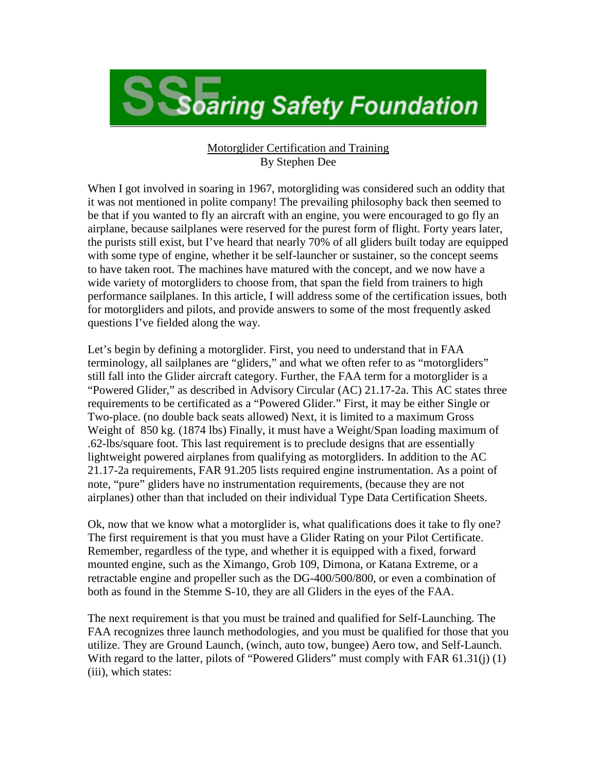**S** Soaring Safety Foundation

## Motorglider Certification and Training By Stephen Dee

When I got involved in soaring in 1967, motorgliding was considered such an oddity that it was not mentioned in polite company! The prevailing philosophy back then seemed to be that if you wanted to fly an aircraft with an engine, you were encouraged to go fly an airplane, because sailplanes were reserved for the purest form of flight. Forty years later, the purists still exist, but I've heard that nearly 70% of all gliders built today are equipped with some type of engine, whether it be self-launcher or sustainer, so the concept seems to have taken root. The machines have matured with the concept, and we now have a wide variety of motorgliders to choose from, that span the field from trainers to high performance sailplanes. In this article, I will address some of the certification issues, both for motorgliders and pilots, and provide answers to some of the most frequently asked questions I've fielded along the way.

Let's begin by defining a motorglider. First, you need to understand that in FAA terminology, all sailplanes are "gliders," and what we often refer to as "motorgliders" still fall into the Glider aircraft category. Further, the FAA term for a motorglider is a "Powered Glider," as described in Advisory Circular (AC) 21.17-2a. This AC states three requirements to be certificated as a "Powered Glider." First, it may be either Single or Two-place. (no double back seats allowed) Next, it is limited to a maximum Gross Weight of 850 kg. (1874 lbs) Finally, it must have a Weight/Span loading maximum of .62-lbs/square foot. This last requirement is to preclude designs that are essentially lightweight powered airplanes from qualifying as motorgliders. In addition to the AC 21.17-2a requirements, FAR 91.205 lists required engine instrumentation. As a point of note, "pure" gliders have no instrumentation requirements, (because they are not airplanes) other than that included on their individual Type Data Certification Sheets.

Ok, now that we know what a motorglider is, what qualifications does it take to fly one? The first requirement is that you must have a Glider Rating on your Pilot Certificate. Remember, regardless of the type, and whether it is equipped with a fixed, forward mounted engine, such as the Ximango, Grob 109, Dimona, or Katana Extreme, or a retractable engine and propeller such as the DG-400/500/800, or even a combination of both as found in the Stemme S-10, they are all Gliders in the eyes of the FAA.

The next requirement is that you must be trained and qualified for Self-Launching. The FAA recognizes three launch methodologies, and you must be qualified for those that you utilize. They are Ground Launch, (winch, auto tow, bungee) Aero tow, and Self-Launch. With regard to the latter, pilots of "Powered Gliders" must comply with FAR 61.31(j) (1) (iii), which states: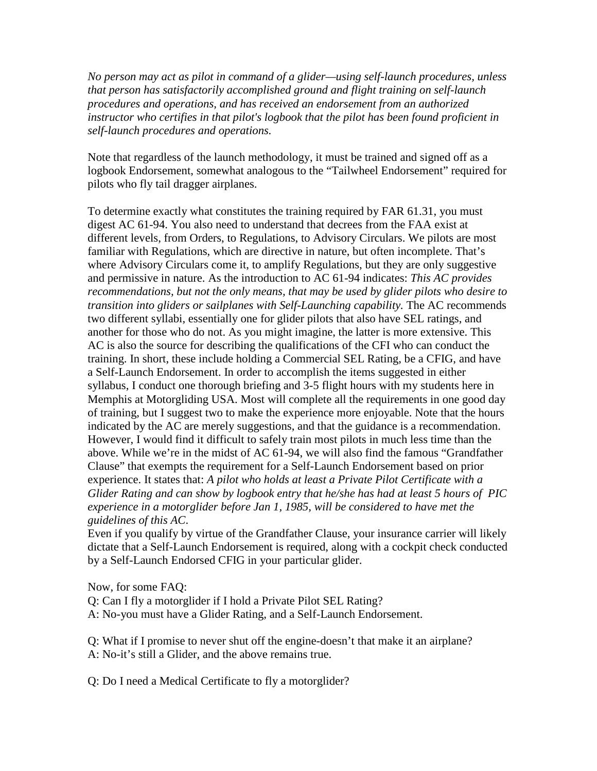*No person may act as pilot in command of a glider—using self-launch procedures, unless that person has satisfactorily accomplished ground and flight training on self-launch procedures and operations, and has received an endorsement from an authorized instructor who certifies in that pilot's logbook that the pilot has been found proficient in self-launch procedures and operations.*

Note that regardless of the launch methodology, it must be trained and signed off as a logbook Endorsement, somewhat analogous to the "Tailwheel Endorsement" required for pilots who fly tail dragger airplanes.

To determine exactly what constitutes the training required by FAR 61.31, you must digest AC 61-94. You also need to understand that decrees from the FAA exist at different levels, from Orders, to Regulations, to Advisory Circulars. We pilots are most familiar with Regulations, which are directive in nature, but often incomplete. That's where Advisory Circulars come it, to amplify Regulations, but they are only suggestive and permissive in nature. As the introduction to AC 61-94 indicates: *This AC provides recommendations, but not the only means, that may be used by glider pilots who desire to transition into gliders or sailplanes with Self-Launching capability.* The AC recommends two different syllabi, essentially one for glider pilots that also have SEL ratings, and another for those who do not. As you might imagine, the latter is more extensive. This AC is also the source for describing the qualifications of the CFI who can conduct the training. In short, these include holding a Commercial SEL Rating, be a CFIG, and have a Self-Launch Endorsement. In order to accomplish the items suggested in either syllabus, I conduct one thorough briefing and 3-5 flight hours with my students here in Memphis at Motorgliding USA. Most will complete all the requirements in one good day of training, but I suggest two to make the experience more enjoyable. Note that the hours indicated by the AC are merely suggestions, and that the guidance is a recommendation. However, I would find it difficult to safely train most pilots in much less time than the above. While we're in the midst of AC 61-94, we will also find the famous "Grandfather Clause" that exempts the requirement for a Self-Launch Endorsement based on prior experience. It states that: *A pilot who holds at least a Private Pilot Certificate with a Glider Rating and can show by logbook entry that he/she has had at least 5 hours of PIC experience in a motorglider before Jan 1, 1985, will be considered to have met the guidelines of this AC*.

Even if you qualify by virtue of the Grandfather Clause, your insurance carrier will likely dictate that a Self-Launch Endorsement is required, along with a cockpit check conducted by a Self-Launch Endorsed CFIG in your particular glider.

Now, for some FAQ:

Q: Can I fly a motorglider if I hold a Private Pilot SEL Rating?

A: No-you must have a Glider Rating, and a Self-Launch Endorsement.

Q: What if I promise to never shut off the engine-doesn't that make it an airplane? A: No-it's still a Glider, and the above remains true.

Q: Do I need a Medical Certificate to fly a motorglider?